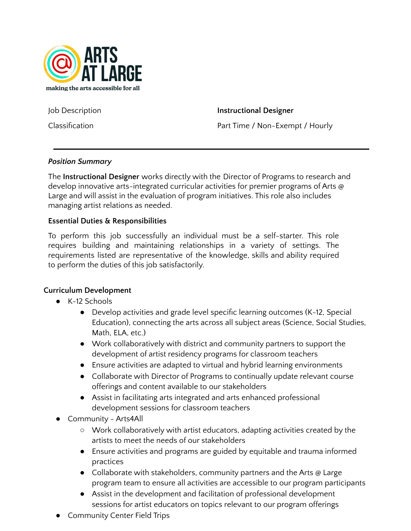

Job Description **Instructional Designer**

Classification **Part Time / Non-Exempt / Hourly** 

## *Position Summary*

The **Instructional Designer** works directly with the Director of Programs to research and develop innovative arts-integrated curricular activities for premier programs of Arts @ Large and will assist in the evaluation of program initiatives. This role also includes managing artist relations as needed.

## **Essential Duties & Responsibilities**

To perform this job successfully an individual must be a self-starter. This role requires building and maintaining relationships in a variety of settings. The requirements listed are representative of the knowledge, skills and ability required to perform the duties of this job satisfactorily.

#### **Curriculum Development**

- K-12 Schools
	- Develop activities and grade level specific learning outcomes (K-12, Special Education), connecting the arts across all subject areas (Science, Social Studies, Math, ELA, etc.)
	- Work collaboratively with district and community partners to support the development of artist residency programs for classroom teachers
	- Ensure activities are adapted to virtual and hybrid learning environments
	- Collaborate with Director of Programs to continually update relevant course offerings and content available to our stakeholders
	- Assist in facilitating arts integrated and arts enhanced professional development sessions for classroom teachers
- Community Arts4All
	- Work collaboratively with artist educators, adapting activities created by the artists to meet the needs of our stakeholders
	- Ensure activities and programs are guided by equitable and trauma informed practices
	- Collaborate with stakeholders, community partners and the Arts @ Large program team to ensure all activities are accessible to our program participants
	- Assist in the development and facilitation of professional development sessions for artist educators on topics relevant to our program offerings
- Community Center Field Trips